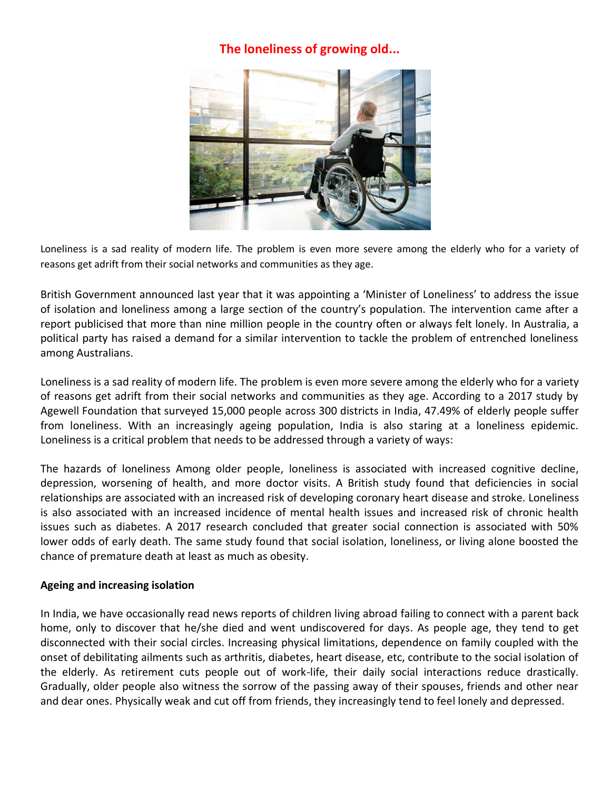# **The loneliness of growing old...**



Loneliness is a sad reality of modern life. The problem is even more severe among the elderly who for a variety of reasons get adrift from their social networks and communities as they age.

British Government announced last year that it was appointing a 'Minister of Loneliness' to address the issue of isolation and loneliness among a large section of the country's population. The intervention came after a report publicised that more than nine million people in the country often or always felt lonely. In Australia, a political party has raised a demand for a similar intervention to tackle the problem of entrenched loneliness among Australians.

Loneliness is a sad reality of modern life. The problem is even more severe among the elderly who for a variety of reasons get adrift from their social networks and communities as they age. According to a 2017 study by Agewell Foundation that surveyed 15,000 people across 300 districts in India, 47.49% of elderly people suffer from loneliness. With an increasingly ageing population, India is also staring at a loneliness epidemic. Loneliness is a critical problem that needs to be addressed through a variety of ways:

The hazards of loneliness Among older people, loneliness is associated with increased cognitive decline, depression, worsening of health, and more doctor visits. A British study found that deficiencies in social relationships are associated with an increased risk of developing coronary heart disease and stroke. Loneliness is also associated with an increased incidence of mental health issues and increased risk of chronic health issues such as diabetes. A 2017 research concluded that greater social connection is associated with 50% lower odds of early death. The same study found that social isolation, loneliness, or living alone boosted the chance of premature death at least as much as obesity.

## **Ageing and increasing isolation**

In India, we have occasionally read news reports of children living abroad failing to connect with a parent back home, only to discover that he/she died and went undiscovered for days. As people age, they tend to get disconnected with their social circles. Increasing physical limitations, dependence on family coupled with the onset of debilitating ailments such as arthritis, diabetes, heart disease, etc, contribute to the social isolation of the elderly. As retirement cuts people out of work-life, their daily social interactions reduce drastically. Gradually, older people also witness the sorrow of the passing away of their spouses, friends and other near and dear ones. Physically weak and cut off from friends, they increasingly tend to feel lonely and depressed.